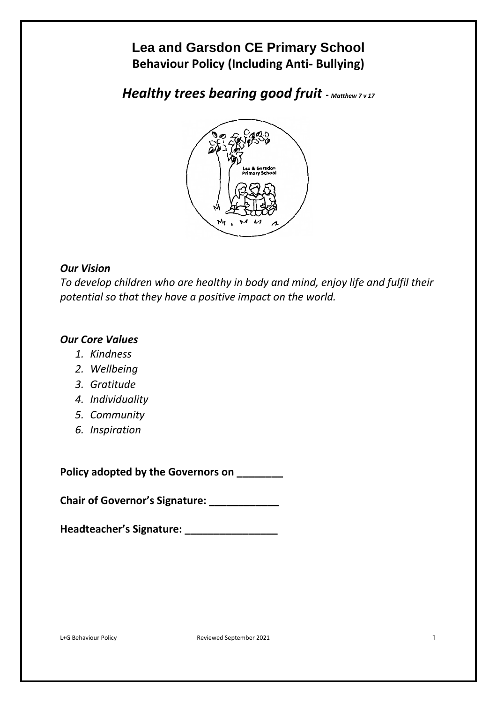# **Lea and Garsdon CE Primary School Behaviour Policy (Including Anti- Bullying)**

*Healthy trees bearing good fruit* **-** *Matthew 7 v 17*



# *Our Vision*

*To develop children who are healthy in body and mind, enjoy life and fulfil their potential so that they have a positive impact on the world.*

# *Our Core Values*

- *1. Kindness*
- *2. Wellbeing*
- *3. Gratitude*
- *4. Individuality*
- *5. Community*
- *6. Inspiration*

**Policy adopted by the Governors on \_\_\_\_\_\_\_\_**

**Chair of Governor's Signature: \_\_\_\_\_\_\_\_\_\_\_\_**

**Headteacher's Signature: \_\_\_\_\_\_\_\_\_\_\_\_\_\_\_\_**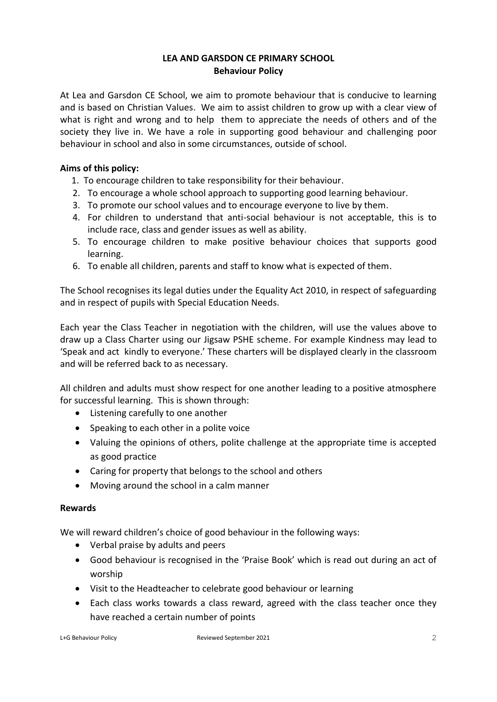# **LEA AND GARSDON CE PRIMARY SCHOOL Behaviour Policy**

At Lea and Garsdon CE School, we aim to promote behaviour that is conducive to learning and is based on Christian Values. We aim to assist children to grow up with a clear view of what is right and wrong and to help them to appreciate the needs of others and of the society they live in. We have a role in supporting good behaviour and challenging poor behaviour in school and also in some circumstances, outside of school.

# **Aims of this policy:**

- 1. To encourage children to take responsibility for their behaviour.
- 2. To encourage a whole school approach to supporting good learning behaviour.
- 3. To promote our school values and to encourage everyone to live by them.
- 4. For children to understand that anti-social behaviour is not acceptable, this is to include race, class and gender issues as well as ability.
- 5. To encourage children to make positive behaviour choices that supports good learning.
- 6. To enable all children, parents and staff to know what is expected of them.

The School recognises its legal duties under the Equality Act 2010, in respect of safeguarding and in respect of pupils with Special Education Needs.

Each year the Class Teacher in negotiation with the children, will use the values above to draw up a Class Charter using our Jigsaw PSHE scheme. For example Kindness may lead to 'Speak and act kindly to everyone.' These charters will be displayed clearly in the classroom and will be referred back to as necessary.

All children and adults must show respect for one another leading to a positive atmosphere for successful learning. This is shown through:

- Listening carefully to one another
- Speaking to each other in a polite voice
- Valuing the opinions of others, polite challenge at the appropriate time is accepted as good practice
- Caring for property that belongs to the school and others
- Moving around the school in a calm manner

#### **Rewards**

We will reward children's choice of good behaviour in the following ways:

- Verbal praise by adults and peers
- Good behaviour is recognised in the 'Praise Book' which is read out during an act of worship
- Visit to the Headteacher to celebrate good behaviour or learning
- Each class works towards a class reward, agreed with the class teacher once they have reached a certain number of points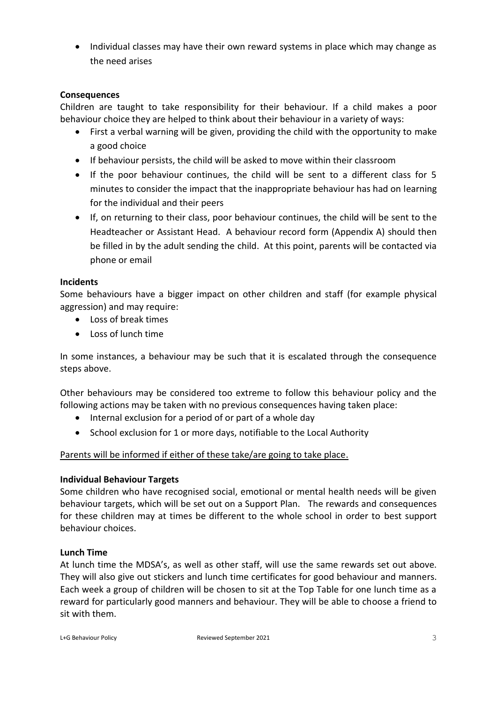• Individual classes may have their own reward systems in place which may change as the need arises

# **Consequences**

Children are taught to take responsibility for their behaviour. If a child makes a poor behaviour choice they are helped to think about their behaviour in a variety of ways:

- First a verbal warning will be given, providing the child with the opportunity to make a good choice
- If behaviour persists, the child will be asked to move within their classroom
- If the poor behaviour continues, the child will be sent to a different class for 5 minutes to consider the impact that the inappropriate behaviour has had on learning for the individual and their peers
- If, on returning to their class, poor behaviour continues, the child will be sent to the Headteacher or Assistant Head. A behaviour record form (Appendix A) should then be filled in by the adult sending the child. At this point, parents will be contacted via phone or email

#### **Incidents**

Some behaviours have a bigger impact on other children and staff (for example physical aggression) and may require:

- Loss of break times
- Loss of lunch time

In some instances, a behaviour may be such that it is escalated through the consequence steps above.

Other behaviours may be considered too extreme to follow this behaviour policy and the following actions may be taken with no previous consequences having taken place:

- Internal exclusion for a period of or part of a whole day
- School exclusion for 1 or more days, notifiable to the Local Authority

#### Parents will be informed if either of these take/are going to take place.

#### **Individual Behaviour Targets**

Some children who have recognised social, emotional or mental health needs will be given behaviour targets, which will be set out on a Support Plan. The rewards and consequences for these children may at times be different to the whole school in order to best support behaviour choices.

#### **Lunch Time**

At lunch time the MDSA's, as well as other staff, will use the same rewards set out above. They will also give out stickers and lunch time certificates for good behaviour and manners. Each week a group of children will be chosen to sit at the Top Table for one lunch time as a reward for particularly good manners and behaviour. They will be able to choose a friend to sit with them.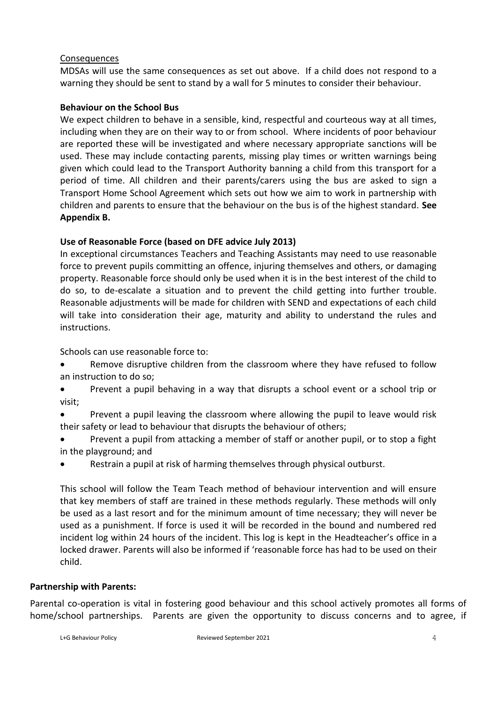#### Consequences

MDSAs will use the same consequences as set out above. If a child does not respond to a warning they should be sent to stand by a wall for 5 minutes to consider their behaviour.

# **Behaviour on the School Bus**

We expect children to behave in a sensible, kind, respectful and courteous way at all times, including when they are on their way to or from school. Where incidents of poor behaviour are reported these will be investigated and where necessary appropriate sanctions will be used. These may include contacting parents, missing play times or written warnings being given which could lead to the Transport Authority banning a child from this transport for a period of time. All children and their parents/carers using the bus are asked to sign a Transport Home School Agreement which sets out how we aim to work in partnership with children and parents to ensure that the behaviour on the bus is of the highest standard. **See Appendix B.**

# **Use of Reasonable Force (based on DFE advice July 2013)**

In exceptional circumstances Teachers and Teaching Assistants may need to use reasonable force to prevent pupils committing an offence, injuring themselves and others, or damaging property. Reasonable force should only be used when it is in the best interest of the child to do so, to de-escalate a situation and to prevent the child getting into further trouble. Reasonable adjustments will be made for children with SEND and expectations of each child will take into consideration their age, maturity and ability to understand the rules and instructions.

Schools can use reasonable force to:

- Remove disruptive children from the classroom where they have refused to follow an instruction to do so;
- Prevent a pupil behaving in a way that disrupts a school event or a school trip or visit;
- Prevent a pupil leaving the classroom where allowing the pupil to leave would risk their safety or lead to behaviour that disrupts the behaviour of others;
- Prevent a pupil from attacking a member of staff or another pupil, or to stop a fight in the playground; and
- Restrain a pupil at risk of harming themselves through physical outburst.

This school will follow the Team Teach method of behaviour intervention and will ensure that key members of staff are trained in these methods regularly. These methods will only be used as a last resort and for the minimum amount of time necessary; they will never be used as a punishment. If force is used it will be recorded in the bound and numbered red incident log within 24 hours of the incident. This log is kept in the Headteacher's office in a locked drawer. Parents will also be informed if 'reasonable force has had to be used on their child.

#### **Partnership with Parents:**

Parental co-operation is vital in fostering good behaviour and this school actively promotes all forms of home/school partnerships. Parents are given the opportunity to discuss concerns and to agree, if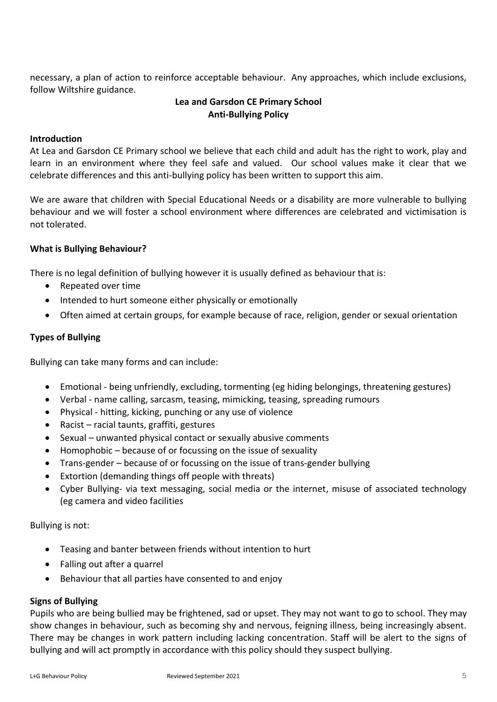necessary, a plan of action to reinforce acceptable behaviour. Any approaches, which include exclusions, follow Wiltshire guidance.

# **Lea and Garsdon CE Primary School Anti-Bullying Policy**

# **Introduction**

At Lea and Garsdon CE Primary school we believe that each child and adult has the right to work, play and learn in an environment where they feel safe and valued. Our school values make it clear that we celebrate differences and this anti-bullying policy has been written to support this aim.

We are aware that children with Special Educational Needs or a disability are more vulnerable to bullying behaviour and we will foster a school environment where differences are celebrated and victimisation is not tolerated.

#### **What is Bullying Behaviour?**

There is no legal definition of bullying however it is usually defined as behaviour that is:

- Repeated over time
- Intended to hurt someone either physically or emotionally
- Often aimed at certain groups, for example because of race, religion, gender or sexual orientation

#### **Types of Bullying**

Bullying can take many forms and can include:

- Emotional being unfriendly, excluding, tormenting (eg hiding belongings, threatening gestures)
- Verbal name calling, sarcasm, teasing, mimicking, teasing, spreading rumours
- Physical hitting, kicking, punching or any use of violence
- Racist racial taunts, graffiti, gestures
- Sexual unwanted physical contact or sexually abusive comments
- Homophobic because of or focussing on the issue of sexuality
- Trans-gender because of or focussing on the issue of trans-gender bullying
- Extortion (demanding things off people with threats)
- Cyber Bullying- via text messaging, social media or the internet, misuse of associated technology (eg camera and video facilities

Bullying is not:

- Teasing and banter between friends without intention to hurt
- Falling out after a quarrel
- Behaviour that all parties have consented to and enjoy

#### **Signs of Bullying**

Pupils who are being bullied may be frightened, sad or upset. They may not want to go to school. They may show changes in behaviour, such as becoming shy and nervous, feigning illness, being increasingly absent. There may be changes in work pattern including lacking concentration. Staff will be alert to the signs of bullying and will act promptly in accordance with this policy should they suspect bullying.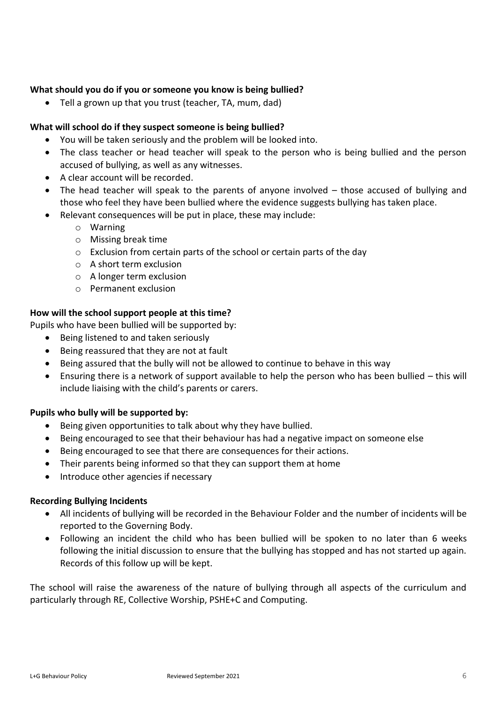# **What should you do if you or someone you know is being bullied?**

Tell a grown up that you trust (teacher, TA, mum, dad)

# **What will school do if they suspect someone is being bullied?**

- You will be taken seriously and the problem will be looked into.
- The class teacher or head teacher will speak to the person who is being bullied and the person accused of bullying, as well as any witnesses.
- A clear account will be recorded.
- The head teacher will speak to the parents of anyone involved those accused of bullying and those who feel they have been bullied where the evidence suggests bullying has taken place.
- Relevant consequences will be put in place, these may include:
	- o Warning
	- o Missing break time
	- o Exclusion from certain parts of the school or certain parts of the day
	- o A short term exclusion
	- o A longer term exclusion
	- o Permanent exclusion

# **How will the school support people at this time?**

Pupils who have been bullied will be supported by:

- Being listened to and taken seriously
- Being reassured that they are not at fault
- Being assured that the bully will not be allowed to continue to behave in this way
- Ensuring there is a network of support available to help the person who has been bullied this will include liaising with the child's parents or carers.

#### **Pupils who bully will be supported by:**

- Being given opportunities to talk about why they have bullied.
- Being encouraged to see that their behaviour has had a negative impact on someone else
- Being encouraged to see that there are consequences for their actions.
- Their parents being informed so that they can support them at home
- Introduce other agencies if necessary

#### **Recording Bullying Incidents**

- All incidents of bullying will be recorded in the Behaviour Folder and the number of incidents will be reported to the Governing Body.
- Following an incident the child who has been bullied will be spoken to no later than 6 weeks following the initial discussion to ensure that the bullying has stopped and has not started up again. Records of this follow up will be kept.

The school will raise the awareness of the nature of bullying through all aspects of the curriculum and particularly through RE, Collective Worship, PSHE+C and Computing.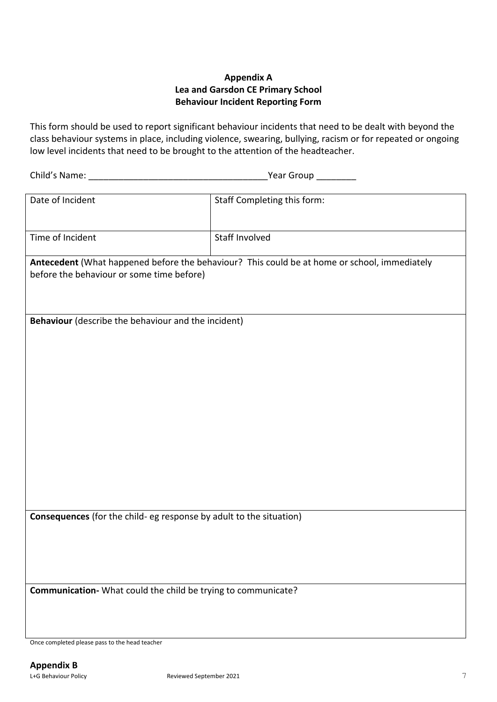# **Appendix A Lea and Garsdon CE Primary School Behaviour Incident Reporting Form**

This form should be used to report significant behaviour incidents that need to be dealt with beyond the class behaviour systems in place, including violence, swearing, bullying, racism or for repeated or ongoing low level incidents that need to be brought to the attention of the headteacher.

Child's Name: \_\_\_\_\_\_\_\_\_\_\_\_\_\_\_\_\_\_\_\_\_\_\_\_\_\_\_\_\_\_\_\_\_\_\_\_Year Group \_\_\_\_\_\_\_\_

| Date of Incident                                                                             | Staff Completing this form: |
|----------------------------------------------------------------------------------------------|-----------------------------|
|                                                                                              |                             |
| Time of Incident                                                                             | <b>Staff Involved</b>       |
| Antecedent (What happened before the behaviour? This could be at home or school, immediately |                             |
| before the behaviour or some time before)                                                    |                             |
|                                                                                              |                             |
|                                                                                              |                             |
|                                                                                              |                             |
| Behaviour (describe the behaviour and the incident)                                          |                             |
|                                                                                              |                             |
|                                                                                              |                             |
|                                                                                              |                             |
|                                                                                              |                             |
|                                                                                              |                             |
|                                                                                              |                             |
|                                                                                              |                             |
|                                                                                              |                             |
|                                                                                              |                             |
|                                                                                              |                             |
|                                                                                              |                             |
|                                                                                              |                             |
|                                                                                              |                             |
|                                                                                              |                             |
|                                                                                              |                             |
|                                                                                              |                             |
|                                                                                              |                             |
| Consequences (for the child- eg response by adult to the situation)                          |                             |
|                                                                                              |                             |
|                                                                                              |                             |
|                                                                                              |                             |
|                                                                                              |                             |
|                                                                                              |                             |
| Communication- What could the child be trying to communicate?                                |                             |
|                                                                                              |                             |
|                                                                                              |                             |
|                                                                                              |                             |
|                                                                                              |                             |
| Once completed please pass to the head teacher                                               |                             |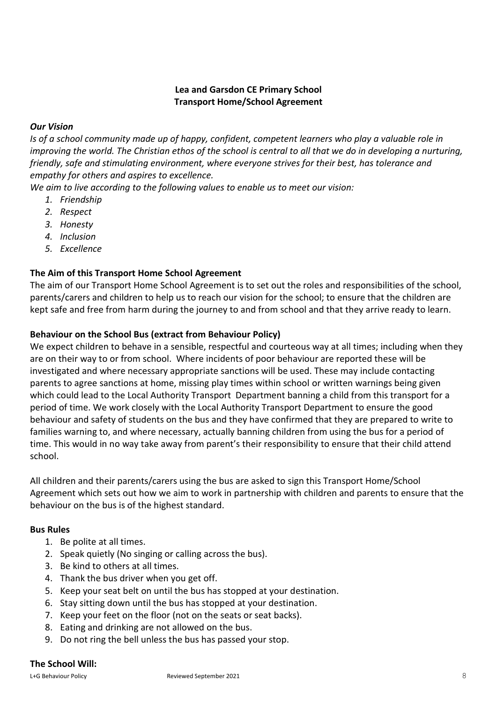# **Lea and Garsdon CE Primary School Transport Home/School Agreement**

# *Our Vision*

*Is of a school community made up of happy, confident, competent learners who play a valuable role in improving the world. The Christian ethos of the school is central to all that we do in developing a nurturing, friendly, safe and stimulating environment, where everyone strives for their best, has tolerance and empathy for others and aspires to excellence.*

*We aim to live according to the following values to enable us to meet our vision:*

- *1. Friendship*
- *2. Respect*
- *3. Honesty*
- *4. Inclusion*
- *5. Excellence*

# **The Aim of this Transport Home School Agreement**

The aim of our Transport Home School Agreement is to set out the roles and responsibilities of the school, parents/carers and children to help us to reach our vision for the school; to ensure that the children are kept safe and free from harm during the journey to and from school and that they arrive ready to learn.

# **Behaviour on the School Bus (extract from Behaviour Policy)**

We expect children to behave in a sensible, respectful and courteous way at all times; including when they are on their way to or from school. Where incidents of poor behaviour are reported these will be investigated and where necessary appropriate sanctions will be used. These may include contacting parents to agree sanctions at home, missing play times within school or written warnings being given which could lead to the Local Authority Transport Department banning a child from this transport for a period of time. We work closely with the Local Authority Transport Department to ensure the good behaviour and safety of students on the bus and they have confirmed that they are prepared to write to families warning to, and where necessary, actually banning children from using the bus for a period of time. This would in no way take away from parent's their responsibility to ensure that their child attend school.

All children and their parents/carers using the bus are asked to sign this Transport Home/School Agreement which sets out how we aim to work in partnership with children and parents to ensure that the behaviour on the bus is of the highest standard.

#### **Bus Rules**

- 1. Be polite at all times.
- 2. Speak quietly (No singing or calling across the bus).
- 3. Be kind to others at all times.
- 4. Thank the bus driver when you get off.
- 5. Keep your seat belt on until the bus has stopped at your destination.
- 6. Stay sitting down until the bus has stopped at your destination.
- 7. Keep your feet on the floor (not on the seats or seat backs).
- 8. Eating and drinking are not allowed on the bus.
- 9. Do not ring the bell unless the bus has passed your stop.

#### **The School Will:**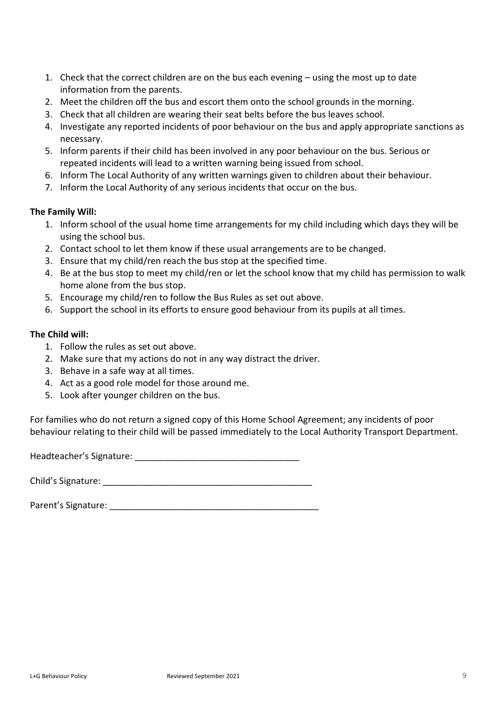- 1. Check that the correct children are on the bus each evening using the most up to date information from the parents.
- 2. Meet the children off the bus and escort them onto the school grounds in the morning.
- 3. Check that all children are wearing their seat belts before the bus leaves school.
- 4. Investigate any reported incidents of poor behaviour on the bus and apply appropriate sanctions as necessary.
- 5. Inform parents if their child has been involved in any poor behaviour on the bus. Serious or repeated incidents will lead to a written warning being issued from school.
- 6. Inform The Local Authority of any written warnings given to children about their behaviour.
- 7. Inform the Local Authority of any serious incidents that occur on the bus.

#### **The Family Will:**

- 1. Inform school of the usual home time arrangements for my child including which days they will be using the school bus.
- 2. Contact school to let them know if these usual arrangements are to be changed.
- 3. Ensure that my child/ren reach the bus stop at the specified time.
- 4. Be at the bus stop to meet my child/ren or let the school know that my child has permission to walk home alone from the bus stop.
- 5. Encourage my child/ren to follow the Bus Rules as set out above.
- 6. Support the school in its efforts to ensure good behaviour from its pupils at all times.

# **The Child will:**

- 1. Follow the rules as set out above.
- 2. Make sure that my actions do not in any way distract the driver.
- 3. Behave in a safe way at all times.
- 4. Act as a good role model for those around me.
- 5. Look after younger children on the bus.

For families who do not return a signed copy of this Home School Agreement; any incidents of poor behaviour relating to their child will be passed immediately to the Local Authority Transport Department.

Headteacher's Signature: **Example 2018** 

Child's Signature: **Example 2018** 

Parent's Signature: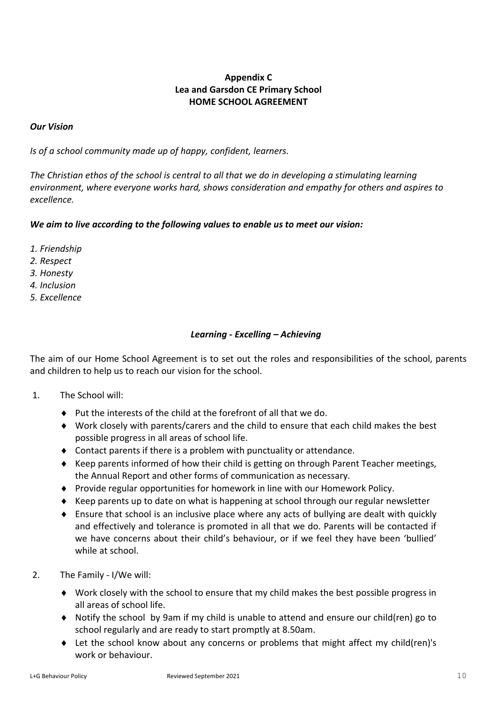# **Appendix C Lea and Garsdon CE Primary School HOME SCHOOL AGREEMENT**

# *Our Vision*

*Is of a school community made up of happy, confident, learners.* 

*The Christian ethos of the school is central to all that we do in developing a stimulating learning environment, where everyone works hard, shows consideration and empathy for others and aspires to excellence.*

# *We aim to live according to the following values to enable us to meet our vision:*

- *1. Friendship*
- *2. Respect*
- *3. Honesty*
- *4. Inclusion*
- *5. Excellence*

# *Learning - Excelling – Achieving*

The aim of our Home School Agreement is to set out the roles and responsibilities of the school, parents and children to help us to reach our vision for the school.

#### 1. The School will:

- $\bullet$  Put the interests of the child at the forefront of all that we do.
- Work closely with parents/carers and the child to ensure that each child makes the best possible progress in all areas of school life.
- Contact parents if there is a problem with punctuality or attendance.
- ♦ Keep parents informed of how their child is getting on through Parent Teacher meetings, the Annual Report and other forms of communication as necessary.
- Provide regular opportunities for homework in line with our Homework Policy.
- $\triangle$  Keep parents up to date on what is happening at school through our regular newsletter
- Ensure that school is an inclusive place where any acts of bullying are dealt with quickly and effectively and tolerance is promoted in all that we do. Parents will be contacted if we have concerns about their child's behaviour, or if we feel they have been 'bullied' while at school.
- 2. The Family I/We will:
	- Work closely with the school to ensure that my child makes the best possible progress in all areas of school life.
	- Notify the school by 9am if my child is unable to attend and ensure our child(ren) go to school regularly and are ready to start promptly at 8.50am.
	- Let the school know about any concerns or problems that might affect my child(ren)'s work or behaviour.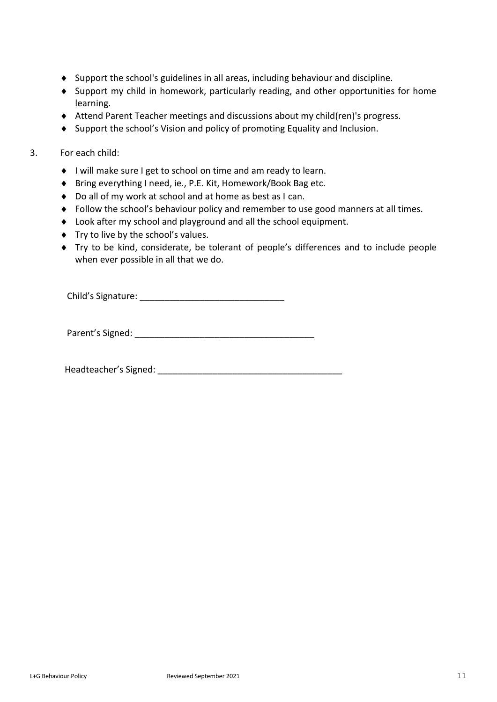- Support the school's guidelines in all areas, including behaviour and discipline.
- Support my child in homework, particularly reading, and other opportunities for home learning.
- Attend Parent Teacher meetings and discussions about my child(ren)'s progress.
- Support the school's Vision and policy of promoting Equality and Inclusion.

#### 3. For each child:

- ◆ I will make sure I get to school on time and am ready to learn.
- ◆ Bring everything I need, ie., P.E. Kit, Homework/Book Bag etc.
- ◆ Do all of my work at school and at home as best as I can.
- Follow the school's behaviour policy and remember to use good manners at all times.
- Look after my school and playground and all the school equipment.
- Try to live by the school's values.
- Try to be kind, considerate, be tolerant of people's differences and to include people when ever possible in all that we do.

Child's Signature: **Example 2018** 

Parent's Signed: <u>and</u>

Headteacher's Signed: \_\_\_\_\_\_\_\_\_\_\_\_\_\_\_\_\_\_\_\_\_\_\_\_\_\_\_\_\_\_\_\_\_\_\_\_\_